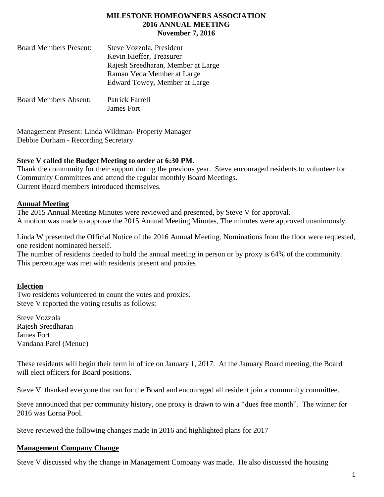## **MILESTONE HOMEOWNERS ASSOCIATION 2016 ANNUAL MEETING November 7, 2016**

| <b>Board Members Present:</b> | Steve Vozzola, President           |
|-------------------------------|------------------------------------|
|                               | Kevin Kieffer, Treasurer           |
|                               | Rajesh Sreedharan, Member at Large |
|                               | Raman Veda Member at Large         |
|                               | Edward Towey, Member at Large      |
| <b>Board Members Absent:</b>  | Patrick Farrell                    |
|                               | James Fort                         |

Management Present: Linda Wildman- Property Manager Debbie Durham - Recording Secretary

## **Steve V called the Budget Meeting to order at 6:30 PM.**

Thank the community for their support during the previous year. Steve encouraged residents to volunteer for Community Committees and attend the regular monthly Board Meetings. Current Board members introduced themselves.

## **Annual Meeting**

The 2015 Annual Meeting Minutes were reviewed and presented, by Steve V for approval. A motion was made to approve the 2015 Annual Meeting Minutes, The minutes were approved unanimously.

Linda W presented the Official Notice of the 2016 Annual Meeting. Nominations from the floor were requested, one resident nominated herself.

The number of residents needed to hold the annual meeting in person or by proxy is 64% of the community. This percentage was met with residents present and proxies

### **Election**

Two residents volunteered to count the votes and proxies. Steve V reported the voting results as follows:

Steve Vozzola Rajesh Sreedharan James Fort Vandana Patel (Menue)

These residents will begin their term in office on January 1, 2017. At the January Board meeting, the Board will elect officers for Board positions.

Steve V. thanked everyone that ran for the Board and encouraged all resident join a community committee.

Steve announced that per community history, one proxy is drawn to win a "dues free month". The winner for 2016 was Lorna Pool.

Steve reviewed the following changes made in 2016 and highlighted plans for 2017

### **Management Company Change**

Steve V discussed why the change in Management Company was made. He also discussed the housing